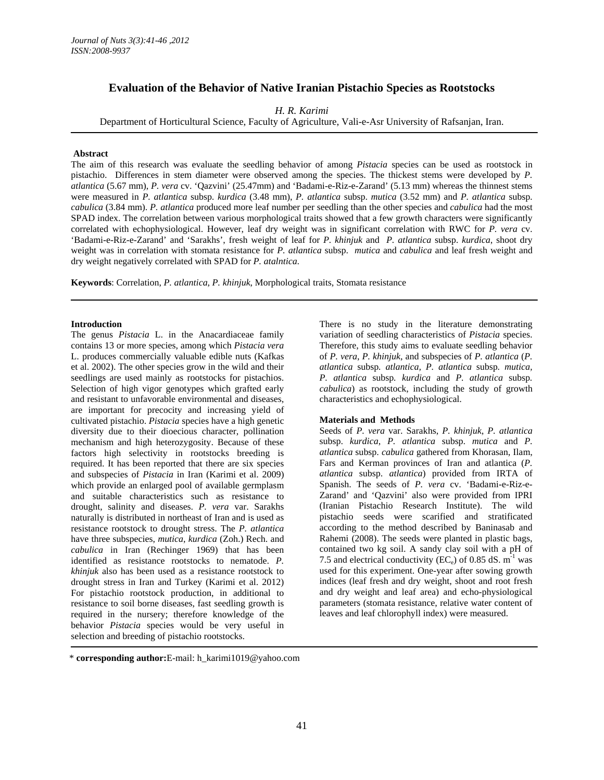# **Evaluation of the Behavior of Native Iranian Pistachio Species as Rootstocks**

*H. R. Karimi* 

Department of Horticultural Science, Faculty of Agriculture, Vali-e-Asr University of Rafsanjan, Iran.

### **Abstract**

The aim of this research was evaluate the seedling behavior of among *Pistacia* species can be used as rootstock in pistachio. Differences in stem diameter were observed among the species. The thickest stems were developed by *P. atlantica* (5.67 mm), *P. vera* cv. 'Qazvini' (25.47mm) and 'Badami-e-Riz-e-Zarand' (5.13 mm) whereas the thinnest stems were measured in *P. atlantica* subsp. *kurdica* (3.48 mm), *P. atlantica* subsp. *mutica* (3.52 mm) and *P. atlantica* subsp. *cabulica* (3.84 mm). *P. atlantica* produced more leaf number per seedling than the other species and *cabulica* had the most SPAD index. The correlation between various morphological traits showed that a few growth characters were significantly correlated with echophysiological. However, leaf dry weight was in significant correlation with RWC for *P. vera* cv. 'Badami-e-Riz-e-Zarand' and 'Sarakhs', fresh weight of leaf for *P. khinjuk* and *P. atlantica* subsp. *kurdica*, shoot dry weight was in correlation with stomata resistance for *P. atlantica* subsp. *mutica* and *cabulica* and leaf fresh weight and dry weight negatively correlated with SPAD for *P. atalntica*.

**Keywords**: Correlation, *P. atlantica*, *P. khinjuk*, Morphological traits, Stomata resistance

### **Introduction**

The genus *Pistacia* L. in the Anacardiaceae family contains 13 or more species, among which *Pistacia vera* L. produces commercially valuable edible nuts (Kafkas et al. 2002). The other species grow in the wild and their seedlings are used mainly as rootstocks for pistachios. Selection of high vigor genotypes which grafted early and resistant to unfavorable environmental and diseases, are important for precocity and increasing yield of cultivated pistachio. *Pistacia* species have a high genetic diversity due to their dioecious character, pollination mechanism and high heterozygosity. Because of these factors high selectivity in rootstocks breeding is required. It has been reported that there are six species and subspecies of *Pistacia* in Iran (Karimi et al. 2009) which provide an enlarged pool of available germplasm and suitable characteristics such as resistance to drought, salinity and diseases. *P. vera* var. Sarakhs naturally is distributed in northeast of Iran and is used as resistance rootstock to drought stress. The *P. atlantica* have three subspecies, *mutica*, *kurdica* (Zoh.) Rech. and *cabulica* in Iran (Rechinger 1969) that has been identified as resistance rootstocks to nematode. *P. khinjuk* also has been used as a resistance rootstock to drought stress in Iran and Turkey (Karimi et al. 2012) For pistachio rootstock production, in additional to resistance to soil borne diseases, fast seedling growth is required in the nursery; therefore knowledge of the behavior *Pistacia* species would be very useful in selection and breeding of pistachio rootstocks.

There is no study in the literature demonstrating variation of seedling characteristics of *Pistacia* species. Therefore, this study aims to evaluate seedling behavior of *P. vera*, *P. khinjuk*, and subspecies of *P. atlantica* (*P. atlantica* subsp*. atlantica, P. atlantica* subsp*. mutica, P. atlantica* subsp*. kurdica* and *P. atlantica* subsp*. cabulica*) as rootstock, including the study of growth characteristics and echophysiological.

#### **Materials and Methods**

Seeds of *P. vera* var. Sarakhs, *P. khinjuk*, *P. atlantica* subsp. *kurdica*, *P. atlantica* subsp. *mutica* and *P. atlantica* subsp. *cabulica* gathered from Khorasan, Ilam, Fars and Kerman provinces of Iran and atlantica (*P. atlantica* subsp. *atlantica*) provided from IRTA of Spanish. The seeds of *P. vera* cv. 'Badami-e-Riz-e-Zarand' and 'Qazvini' also were provided from IPRI (Iranian Pistachio Research Institute). The wild pistachio seeds were scarified and stratificated according to the method described by Baninasab and Rahemi (2008). The seeds were planted in plastic bags, contained two kg soil. A sandy clay soil with a pH of 7.5 and electrical conductivity (EC<sub>e</sub>) of 0.85 dS.  $m^{-1}$  was used for this experiment. One-year after sowing growth indices (leaf fresh and dry weight, shoot and root fresh and dry weight and leaf area) and echo-physiological parameters (stomata resistance, relative water content of leaves and leaf chlorophyll index) were measured.

<sup>\*</sup> **corresponding author:**E-mail: h\_karimi1019@yahoo.com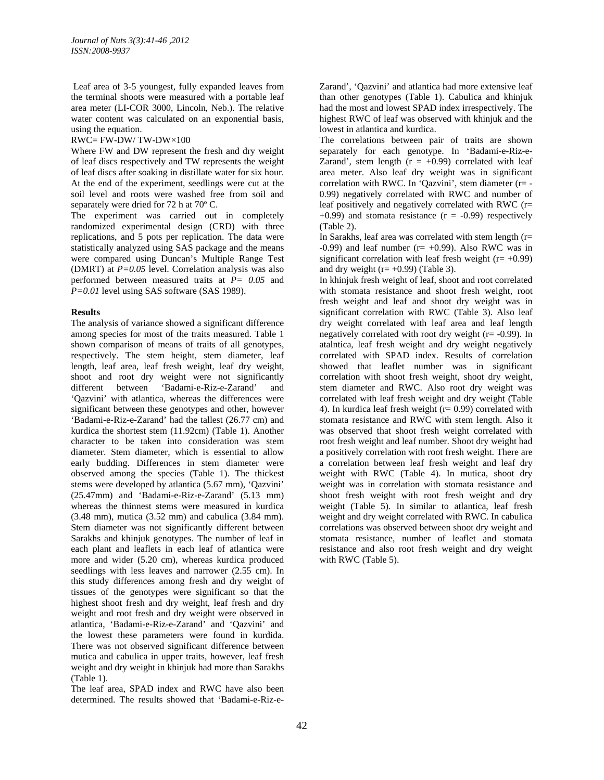Leaf area of 3-5 youngest, fully expanded leaves from the terminal shoots were measured with a portable leaf area meter (LI-COR 3000, Lincoln, Neb.). The relative water content was calculated on an exponential basis, using the equation.

 $RWC = FW-DW/TW-DW\times 100$ 

Where FW and DW represent the fresh and dry weight of leaf discs respectively and TW represents the weight of leaf discs after soaking in distillate water for six hour. At the end of the experiment, seedlings were cut at the soil level and roots were washed free from soil and separately were dried for 72 h at 70º C.

The experiment was carried out in completely randomized experimental design (CRD) with three replications, and 5 pots per replication. The data were statistically analyzed using SAS package and the means were compared using Duncan's Multiple Range Test (DMRT) at *P=0.05* level. Correlation analysis was also performed between measured traits at *P= 0.05* and *P=0.01* level using SAS software (SAS 1989).

## **Results**

The analysis of variance showed a significant difference among species for most of the traits measured. Table 1 shown comparison of means of traits of all genotypes, respectively. The stem height, stem diameter, leaf length, leaf area, leaf fresh weight, leaf dry weight, shoot and root dry weight were not significantly different between 'Badami-e-Riz-e-Zarand' and 'Qazvini' with atlantica, whereas the differences were significant between these genotypes and other, however 'Badami-e-Riz-e-Zarand' had the tallest (26.77 cm) and kurdica the shortest stem (11.92cm) (Table 1). Another character to be taken into consideration was stem diameter. Stem diameter, which is essential to allow early budding. Differences in stem diameter were observed among the species (Table 1). The thickest stems were developed by atlantica (5.67 mm), 'Qazvini' (25.47mm) and 'Badami-e-Riz-e-Zarand' (5.13 mm) whereas the thinnest stems were measured in kurdica (3.48 mm), mutica (3.52 mm) and cabulica (3.84 mm). Stem diameter was not significantly different between Sarakhs and khinjuk genotypes. The number of leaf in each plant and leaflets in each leaf of atlantica were more and wider (5.20 cm), whereas kurdica produced seedlings with less leaves and narrower (2.55 cm). In this study differences among fresh and dry weight of tissues of the genotypes were significant so that the highest shoot fresh and dry weight, leaf fresh and dry weight and root fresh and dry weight were observed in atlantica, 'Badami-e-Riz-e-Zarand' and 'Qazvini' and the lowest these parameters were found in kurdida. There was not observed significant difference between mutica and cabulica in upper traits, however, leaf fresh weight and dry weight in khinjuk had more than Sarakhs (Table 1).

The leaf area, SPAD index and RWC have also been determined. The results showed that 'Badami-e-Riz-eZarand', 'Qazvini' and atlantica had more extensive leaf than other genotypes (Table 1). Cabulica and khinjuk had the most and lowest SPAD index irrespectively. The highest RWC of leaf was observed with khinjuk and the lowest in atlantica and kurdica.

The correlations between pair of traits are shown separately for each genotype. In 'Badami-e-Riz-e-Zarand', stem length  $(r = +0.99)$  correlated with leaf area meter. Also leaf dry weight was in significant correlation with RWC. In 'Qazvini', stem diameter (r= - 0.99) negatively correlated with RWC and number of leaf positively and negatively correlated with RWC (r=  $+0.99$ ) and stomata resistance ( $r = -0.99$ ) respectively (Table 2).

In Sarakhs, leaf area was correlated with stem length (r= -0.99) and leaf number ( $r=+0.99$ ). Also RWC was in significant correlation with leaf fresh weight  $(r= +0.99)$ and dry weight  $(r= +0.99)$  (Table 3).

In khinjuk fresh weight of leaf, shoot and root correlated with stomata resistance and shoot fresh weight, root fresh weight and leaf and shoot dry weight was in significant correlation with RWC (Table 3). Also leaf dry weight correlated with leaf area and leaf length negatively correlated with root dry weight (r= -0.99). In atalntica, leaf fresh weight and dry weight negatively correlated with SPAD index. Results of correlation showed that leaflet number was in significant correlation with shoot fresh weight, shoot dry weight, stem diameter and RWC. Also root dry weight was correlated with leaf fresh weight and dry weight (Table 4). In kurdica leaf fresh weight  $(r= 0.99)$  correlated with stomata resistance and RWC with stem length. Also it was observed that shoot fresh weight correlated with root fresh weight and leaf number. Shoot dry weight had a positively correlation with root fresh weight. There are a correlation between leaf fresh weight and leaf dry weight with RWC (Table 4). In mutica, shoot dry weight was in correlation with stomata resistance and shoot fresh weight with root fresh weight and dry weight (Table 5). In similar to atlantica, leaf fresh weight and dry weight correlated with RWC. In cabulica correlations was observed between shoot dry weight and stomata resistance, number of leaflet and stomata resistance and also root fresh weight and dry weight with RWC (Table 5).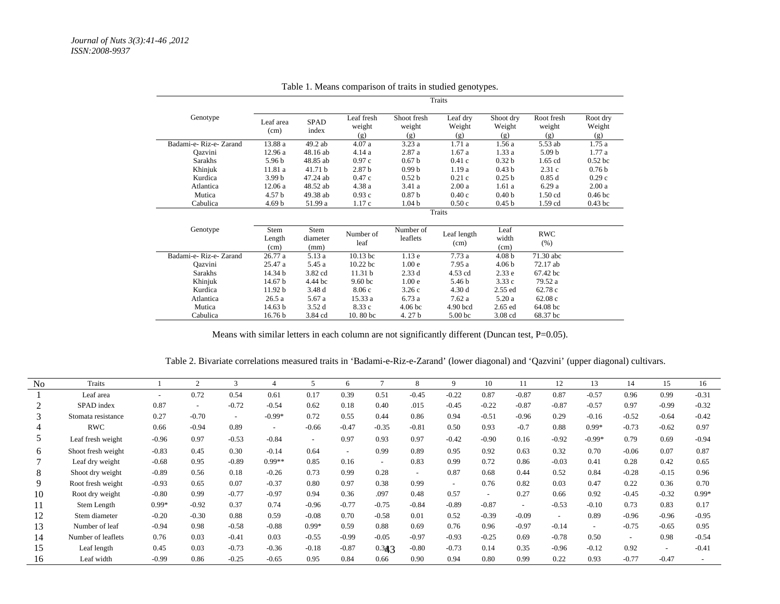|                       |                        |                          |                             |                              | Traits                    |                            |                             |                           |
|-----------------------|------------------------|--------------------------|-----------------------------|------------------------------|---------------------------|----------------------------|-----------------------------|---------------------------|
| Genotype              | Leaf area<br>(cm)      | <b>SPAD</b><br>index     | Leaf fresh<br>weight<br>(g) | Shoot fresh<br>weight<br>(g) | Leaf dry<br>Weight<br>(g) | Shoot dry<br>Weight<br>(g) | Root fresh<br>weight<br>(g) | Root dry<br>Weight<br>(g) |
| Badami-e-Riz-e-Zarand | 13.88 a                | 49.2 ab                  | 4.07a                       | 3.23a                        | 1.71a                     | 1.56 a                     | 5.53 ab                     | 1.75a                     |
| Oazvini               | 12.96 a                | 48.16 ab                 | 4.14 a                      | 2.87 a                       | 1.67a                     | 1.33a                      | 5.09 <sub>b</sub>           | 1.77a                     |
| Sarakhs               | 5.96 <sub>b</sub>      | 48.85 ab                 | 0.97c                       | 0.67 <sub>b</sub>            | 0.41c                     | 0.32 <sub>b</sub>          | $1.65$ cd                   | 0.52 <sub>bc</sub>        |
| Khinjuk               | 11.81 a                | 41.71 b                  | 2.87 <sub>b</sub>           | 0.99 <sub>b</sub>            | 1.19a                     | 0.43 <sub>b</sub>          | 2.31c                       | 0.76 <sub>b</sub>         |
| Kurdica               | 3.99 <sub>b</sub>      | 47.24 ab                 | 0.47c                       | 0.52 <sub>b</sub>            | 0.21c                     | 0.25 <sub>b</sub>          | 0.85d                       | 0.29c                     |
| Atlantica             | 12.06a                 | 48.52 ab                 | 4.38 a                      | 3.41 a                       | 2.00a                     | 1.61a                      | 6.29a                       | 2.00a                     |
| Mutica                | 4.57 b                 | 49.38 ab                 | 0.93c                       | 0.87 <sub>b</sub>            | 0.40c                     | 0.40 <sub>b</sub>          | 1.50 cd                     | 0.46 <sub>bc</sub>        |
| Cabulica              | 4.69 <sub>b</sub>      | 51.99 a                  | 1.17c                       | 1.04 <sub>b</sub>            | 0.50c                     | 0.45 <sub>b</sub>          | 1.59 cd                     | $0.43$ bc                 |
|                       |                        |                          |                             |                              | Traits                    |                            |                             |                           |
| Genotype              | Stem<br>Length<br>(cm) | Stem<br>diameter<br>(mm) | Number of<br>leaf           | Number of<br>leaflets        | Leaf length<br>(cm)       | Leaf<br>width<br>(cm)      | <b>RWC</b><br>(% )          |                           |
| Badami-e-Riz-e-Zarand | 26.77a                 | 5.13 a                   | $10.13$ bc                  | 1.13e                        | 7.73a                     | 4.08 <sub>b</sub>          | 71.30 abc                   |                           |
| Oazvini               | 25.47 a                | 5.45 a                   | $10.22$ bc                  | 1.00 <sub>e</sub>            | 7.95 a                    | 4.06 <sub>b</sub>          | 72.17 ab                    |                           |
| Sarakhs               | 14.34 b                | 3.82 cd                  | 11.31 b                     | 2.33d                        | 4.53 cd                   | 2.33e                      | 67.42 bc                    |                           |
| Khinjuk               | 14.67 b                | 4.44 bc                  | 9.60 bc                     | 1.00 <sub>e</sub>            | 5.46 b                    | 3.33c                      | 79.52 a                     |                           |
| Kurdica               | 11.92 b                | 3.48 d                   | 8.06c                       | 3.26c                        | 4.30d                     | $2.55$ ed                  | 62.78 c                     |                           |
| Atlantica             | 26.5a                  | 5.67 a                   | 15.33 a                     | 6.73a                        | 7.62a                     | 5.20 a                     | 62.08c                      |                           |
| Mutica                | 14.63 b                | 3.52d                    | 8.33 c                      | 4.06 <sub>bc</sub>           | $4.90$ bcd                | $2.65$ ed                  | 64.08 bc                    |                           |
| Cabulica              | 16.76 b                | 3.84 cd                  | 10.80 <sub>bc</sub>         | 4.27b                        | 5.00 <sub>bc</sub>        | 3.08 cd                    | 68.37 bc                    |                           |

Table 1. Means comparison of traits in studied genotypes.

Means with similar letters in each column are not significantly different (Duncan test, P=0.05).

Table 2. Bivariate correlations measured traits in 'Badami-e-Riz-e-Zarand' (lower diagonal) and 'Qazvini' (upper diagonal) cultivars.

| N <sub>0</sub> | Traits             |         | 2                        | 3       | 4                        | $\overline{\phantom{1}}$ | 6       | $\mathcal{I}$ | 8                        | 9                        | 10      | 11                       | 12                       | 13       | 14      | 15      | 16      |
|----------------|--------------------|---------|--------------------------|---------|--------------------------|--------------------------|---------|---------------|--------------------------|--------------------------|---------|--------------------------|--------------------------|----------|---------|---------|---------|
|                | Leaf area          |         | 0.72                     | 0.54    | 0.61                     | 0.17                     | 0.39    | 0.51          | $-0.45$                  | $-0.22$                  | 0.87    | $-0.87$                  | 0.87                     | $-0.57$  | 0.96    | 0.99    | $-0.31$ |
|                | SPAD index         | 0.87    | $\overline{\phantom{a}}$ | $-0.72$ | $-0.54$                  | 0.62                     | 0.18    | 0.40          | .015                     | $-0.45$                  | $-0.22$ | $-0.87$                  | $-0.87$                  | $-0.57$  | 0.97    | $-0.99$ | $-0.32$ |
|                | Stomata resistance | 0.27    | $-0.70$                  | $\sim$  | $-0.99*$                 | 0.72                     | 0.55    | 0.44          | 0.86                     | 0.94                     | $-0.51$ | $-0.96$                  | 0.29                     | $-0.16$  | $-0.52$ | $-0.64$ | $-0.42$ |
|                | <b>RWC</b>         | 0.66    | $-0.94$                  | 0.89    | $\overline{\phantom{a}}$ | $-0.66$                  | $-0.47$ | $-0.35$       | $-0.81$                  | 0.50                     | 0.93    | $-0.7$                   | 0.88                     | $0.99*$  | $-0.73$ | $-0.62$ | 0.97    |
|                | Leaf fresh weight  | $-0.96$ | 0.97                     | $-0.53$ | $-0.84$                  | $\overline{\phantom{a}}$ | 0.97    | 0.93          | 0.97                     | $-0.42$                  | $-0.90$ | 0.16                     | $-0.92$                  | $-0.99*$ | 0.79    | 0.69    | $-0.94$ |
| 6              | Shoot fresh weight | $-0.83$ | 0.45                     | 0.30    | $-0.14$                  | 0.64                     | $\sim$  | 0.99          | 0.89                     | 0.95                     | 0.92    | 0.63                     | 0.32                     | 0.70     | $-0.06$ | 0.07    | 0.87    |
|                | Leaf dry weight    | $-0.68$ | 0.95                     | $-0.89$ | $0.99**$                 | 0.85                     | 0.16    | $\sim$        | 0.83                     | 0.99                     | 0.72    | 0.86                     | $-0.03$                  | 0.41     | 0.28    | 0.42    | 0.65    |
| 8              | Shoot dry weight   | $-0.89$ | 0.56                     | 0.18    | $-0.26$                  | 0.73                     | 0.99    | 0.28          | $\overline{\phantom{a}}$ | 0.87                     | 0.68    | 0.44                     | 0.52                     | 0.84     | $-0.28$ | $-0.15$ | 0.96    |
| 9              | Root fresh weight  | $-0.93$ | 0.65                     | 0.07    | $-0.37$                  | 0.80                     | 0.97    | 0.38          | 0.99                     | $\overline{\phantom{a}}$ | 0.76    | 0.82                     | 0.03                     | 0.47     | 0.22    | 0.36    | 0.70    |
| 10             | Root dry weight    | $-0.80$ | 0.99                     | $-0.77$ | $-0.97$                  | 0.94                     | 0.36    | .097          | 0.48                     | 0.57                     |         | 0.27                     | 0.66                     | 0.92     | $-0.45$ | $-0.32$ | $0.99*$ |
| 11             | Stem Length        | $0.99*$ | $-0.92$                  | 0.37    | 0.74                     | $-0.96$                  | $-0.77$ | $-0.75$       | $-0.84$                  | $-0.89$                  | $-0.87$ | $\overline{\phantom{a}}$ | $-0.53$                  | $-0.10$  | 0.73    | 0.83    | 0.17    |
| 12             | Stem diameter      | $-0.20$ | $-0.30$                  | 0.88    | 0.59                     | $-0.08$                  | 0.70    | $-0.58$       | 0.01                     | 0.52                     | $-0.39$ | $-0.09$                  | $\overline{\phantom{a}}$ | 0.89     | $-0.96$ | $-0.96$ | $-0.95$ |
| 13             | Number of leaf     | $-0.94$ | 0.98                     | $-0.58$ | $-0.88$                  | $0.99*$                  | 0.59    | 0.88          | 0.69                     | 0.76                     | 0.96    | $-0.97$                  | $-0.14$                  |          | $-0.75$ | $-0.65$ | 0.95    |
| 14             | Number of leaflets | 0.76    | 0.03                     | $-0.41$ | 0.03                     | $-0.55$                  | $-0.99$ | $-0.05$       | $-0.97$                  | $-0.93$                  | $-0.25$ | 0.69                     | $-0.78$                  | 0.50     |         | 0.98    | $-0.54$ |
| 15             | Leaf length        | 0.45    | 0.03                     | $-0.73$ | $-0.36$                  | $-0.18$                  | $-0.87$ | 0.343         | $-0.80$                  | $-0.73$                  | 0.14    | 0.35                     | $-0.96$                  | $-0.12$  | 0.92    |         | $-0.41$ |
| 16             | Leaf width         | $-0.99$ | 0.86                     | $-0.25$ | $-0.65$                  | 0.95                     | 0.84    | 0.66          | 0.90                     | 0.94                     | 0.80    | 0.99                     | 0.22                     | 0.93     | $-0.77$ | $-0.47$ |         |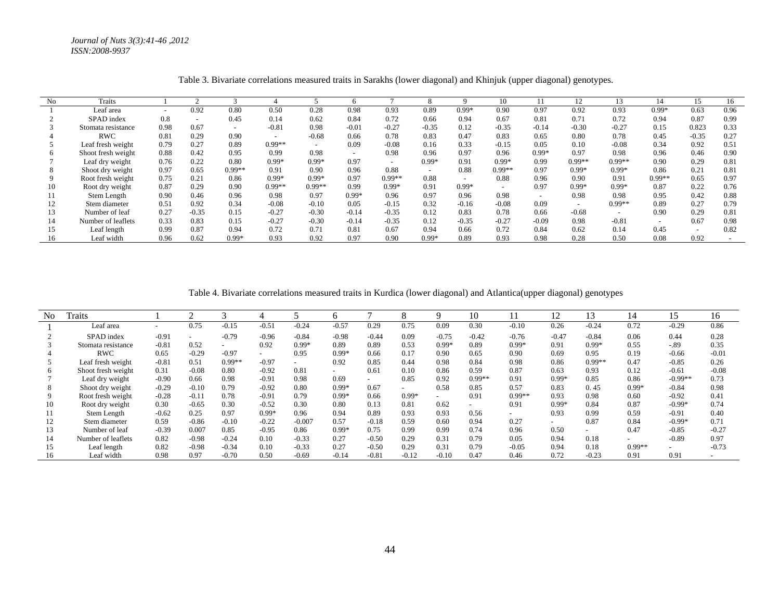*Journal of Nuts 3(3):41-46 ,2012 ISSN:2008-9937*

| No | Traits             |                          |                          |                          |                          |                          |                          |                          |                          |                          | 10                       |                          | 12                       | 13                       | 14                       | 15                       | 16   |
|----|--------------------|--------------------------|--------------------------|--------------------------|--------------------------|--------------------------|--------------------------|--------------------------|--------------------------|--------------------------|--------------------------|--------------------------|--------------------------|--------------------------|--------------------------|--------------------------|------|
|    | Leaf area          | $\overline{\phantom{0}}$ | 0.92                     | 0.80                     | 0.50                     | 0.28                     | 0.98                     | 0.93                     | 0.89                     | $0.99*$                  | 0.90                     | 0.97                     | 0.92                     | 0.93                     | $0.99*$                  | 0.63                     | 0.96 |
|    | SPAD index         | 0.8                      | $\overline{\phantom{a}}$ | 0.45                     | 0.14                     | 0.62                     | 0.84                     | 0.72                     | 0.66                     | 0.94                     | 0.67                     | 0.81                     | 0.71                     | 0.72                     | 0.94                     | 0.87                     | 0.99 |
|    | Stomata resistance | 0.98                     | 0.67                     | $\overline{\phantom{a}}$ | $-0.81$                  | 0.98                     | $-0.01$                  | $-0.27$                  | $-0.35$                  | 0.12                     | $-0.35$                  | $-0.14$                  | $-0.30$                  | $-0.27$                  | 0.15                     | 0.823                    | 0.33 |
|    | RWC                | 0.81                     | 0.29                     | 0.90                     | $\overline{\phantom{0}}$ | $-0.68$                  | 0.66                     | 0.78                     | 0.83                     | 0.47                     | 0.83                     | 0.65                     | 0.80                     | 0.78                     | 0.45                     | $-0.35$                  | 0.27 |
|    | Leaf fresh weight  | 0.79                     | 0.27                     | 0.89                     | $0.99**$                 | $\overline{\phantom{0}}$ | 0.09                     | $-0.08$                  | 0.16                     | 0.33                     | $-0.15$                  | 0.05                     | 0.10                     | $-0.08$                  | 0.34                     | 0.92                     | 0.51 |
| h. | Shoot fresh weight | 0.88                     | 0.42                     | 0.95                     | 0.99                     | 0.98                     | $\overline{\phantom{a}}$ | 0.98                     | 0.96                     | 0.97                     | 0.96                     | $0.99*$                  | 0.97                     | 0.98                     | 0.96                     | 0.46                     | 0.90 |
|    | Leaf dry weight    | 0.76                     | 0.22                     | 0.80                     | $0.99*$                  | $0.99*$                  | 0.97                     | $\overline{\phantom{0}}$ | $0.99*$                  | 0.91                     | $0.99*$                  | 0.99                     | $0.99**$                 | $0.99**$                 | 0.90                     | 0.29                     | 0.81 |
|    | Shoot dry weight   | 0.97                     | 0.65                     | $0.99**$                 | 0.91                     | 0.90                     | 0.96                     | 0.88                     | $\overline{\phantom{0}}$ | 0.88                     | $0.99**$                 | 0.97                     | $0.99*$                  | $0.99*$                  | 0.86                     | 0.21                     | 0.81 |
|    | Root fresh weight  | 0.75                     | 0.21                     | 0.86                     | $0.99*$                  | $0.99*$                  | 0.97                     | $0.99**$                 | 0.88                     | $\overline{\phantom{0}}$ | 0.88                     | 0.96                     | 0.90                     | 0.91                     | $0.99**$                 | 0.65                     | 0.97 |
| 10 | Root dry weight    | 0.87                     | 0.29                     | 0.90                     | $0.99**$                 | $0.99**$                 | 0.99                     | $0.99*$                  | 0.91                     | $0.99*$                  | $\overline{\phantom{0}}$ | 0.97                     | $0.99*$                  | $0.99*$                  | 0.87                     | 0.22                     | 0.76 |
|    | Stem Length        | 0.90                     | 0.46                     | 0.96                     | 0.98                     | 0.97                     | $0.99*$                  | 0.96                     | 0.97                     | 0.96                     | 0.98                     | $\overline{\phantom{0}}$ | 0.98                     | 0.98                     | 0.95                     | 0.42                     | 0.88 |
| 12 | Stem diameter      | 0.51                     | 0.92                     | 0.34                     | $-0.08$                  | $-0.10$                  | 0.05                     | $-0.15$                  | 0.32                     | $-0.16$                  | $-0.08$                  | 0.09                     | $\overline{\phantom{0}}$ | $0.99**$                 | 0.89                     | 0.27                     | 0.79 |
| 13 | Number of leaf     | 0.27                     | $-0.35$                  | 0.15                     | $-0.27$                  | $-0.30$                  | $-0.14$                  | $-0.35$                  | 0.12                     | 0.83                     | 0.78                     | 0.66                     | $-0.68$                  | $\overline{\phantom{0}}$ | 0.90                     | 0.29                     | 0.81 |
| 14 | Number of leaflets | 0.33                     | 0.83                     | 0.15                     | $-0.27$                  | $-0.30$                  | $-0.14$                  | $-0.35$                  | 0.12                     | $-0.35$                  | $-0.27$                  | $-0.09$                  | 0.98                     | $-0.81$                  | $\overline{\phantom{0}}$ | 0.67                     | 0.98 |
| 15 | Leaf length        | 0.99                     | 0.87                     | 0.94                     | 0.72                     | 0.71                     | 0.81                     | 0.67                     | 0.94                     | 0.66                     | 0.72                     | 0.84                     | 0.62                     | 0.14                     | 0.45                     | $\overline{\phantom{a}}$ | 0.82 |
| 16 | Leaf width         | 0.96                     | 0.62                     | $0.99*$                  | 0.93                     | 0.92                     | 0.97                     | 0.90                     | $0.99*$                  | 0.89                     | 0.93                     | 0.98                     | 0.28                     | 0.50                     | 0.08                     | 0.92                     |      |

Table 3. Bivariate correlations measured traits in Sarakhs (lower diagonal) and Khinjuk (upper diagonal) genotypes.

Table 4. Bivariate correlations measured traits in Kurdica (lower diagonal) and Atlantica(upper diagonal) genotypes

| N <sub>0</sub> | <b>Traits</b>      |         | ◠       |          |                          |          |                          |                          |         |         | 10       |                          | 12      | 13       | 14       | 15                       | 16      |
|----------------|--------------------|---------|---------|----------|--------------------------|----------|--------------------------|--------------------------|---------|---------|----------|--------------------------|---------|----------|----------|--------------------------|---------|
|                | Leaf area          |         | 0.75    | $-0.15$  | $-0.51$                  | $-0.24$  | $-0.57$                  | 0.29                     | 0.75    | 0.09    | 0.30     | $-0.10$                  | 0.26    | $-0.24$  | 0.72     | $-0.29$                  | 0.86    |
|                | SPAD index         | $-0.91$ |         | $-0.79$  | $-0.96$                  | $-0.84$  | $-0.98$                  | $-0.44$                  | 0.09    | $-0.75$ | $-0.42$  | $-0.76$                  | $-0.47$ | $-0.84$  | 0.06     | 0.44                     | 0.28    |
|                | Stomata resistance | $-0.81$ | 0.52    |          | 0.92                     | $0.99*$  | 0.89                     | 0.89                     | 0.53    | $0.99*$ | 0.89     | $0.99*$                  | 0.91    | $0.99*$  | 0.55     | $-.89$                   | 0.35    |
|                | <b>RWC</b>         | 0.65    | $-0.29$ | $-0.97$  | $\overline{\phantom{a}}$ | 0.95     | $0.99*$                  | 0.66                     | 0.17    | 0.90    | 0.65     | 0.90                     | 0.69    | 0.95     | 0.19     | $-0.66$                  | $-0.01$ |
|                | Leaf fresh weight  | $-0.81$ | 0.51    | $0.99**$ | $-0.97$                  | $\sim$   | 0.92                     | 0.85                     | 0.44    | 0.98    | 0.84     | 0.98                     | 0.86    | $0.99**$ | 0.47     | $-0.85$                  | 0.26    |
|                | Shoot fresh weight | 0.31    | $-0.08$ | 0.80     | $-0.92$                  | 0.81     | $\overline{\phantom{a}}$ | 0.61                     | 0.10    | 0.86    | 0.59     | 0.87                     | 0.63    | 0.93     | 0.12     | $-0.61$                  | $-0.08$ |
|                | Leaf dry weight    | $-0.90$ | 0.66    | 0.98     | $-0.91$                  | 0.98     | 0.69                     | $\overline{\phantom{0}}$ | 0.85    | 0.92    | $0.99**$ | 0.91                     | $0.99*$ | 0.85     | 0.86     | $-0.99**$                | 0.73    |
|                | Shoot dry weight   | $-0.29$ | $-0.10$ | 0.79     | $-0.92$                  | 0.80     | $0.99*$                  | 0.67                     |         | 0.58    | 0.85     | 0.57                     | 0.83    | 0.45     | $0.99*$  | $-0.84$                  | 0.98    |
|                | Root fresh weight  | $-0.28$ | $-0.11$ | 0.78     | $-0.91$                  | 0.79     | $0.99*$                  | 0.66                     | $0.99*$ |         | 0.91     | $0.99**$                 | 0.93    | 0.98     | 0.60     | $-0.92$                  | 0.41    |
| 10.            | Root dry weight    | 0.30    | $-0.65$ | 0.30     | $-0.52$                  | 0.30     | 0.80                     | 0.13                     | 0.81    | 0.62    |          | 0.91                     | $0.99*$ | 0.84     | 0.87     | $-0.99*$                 | 0.74    |
|                | Stem Length        | $-0.62$ | 0.25    | 0.97     | $0.99*$                  | 0.96     | 0.94                     | 0.89                     | 0.93    | 0.93    | 0.56     | $\overline{\phantom{0}}$ | 0.93    | 0.99     | 0.59     | $-0.91$                  | 0.40    |
|                | Stem diameter      | 0.59    | $-0.86$ | $-0.10$  | $-0.22$                  | $-0.007$ | 0.57                     | $-0.18$                  | 0.59    | 0.60    | 0.94     | 0.27                     |         | 0.87     | 0.84     | $-0.99*$                 | 0.71    |
| 13             | Number of leaf     | $-0.39$ | 0.007   | 0.85     | $-0.95$                  | 0.86     | $0.99*$                  | 0.75                     | 0.99    | 0.99    | 0.74     | 0.96                     | 0.50    |          | 0.47     | $-0.85$                  | $-0.27$ |
|                | Number of leaflets | 0.82    | $-0.98$ | $-0.24$  | 0.10                     | $-0.33$  | 0.27                     | $-0.50$                  | 0.29    | 0.31    | 0.79     | 0.05                     | 0.94    | 0.18     |          | $-0.89$                  | 0.97    |
|                | Leaf length        | 0.82    | $-0.98$ | $-0.34$  | 0.10                     | $-0.33$  | 0.27                     | $-0.50$                  | 0.29    | 0.31    | 0.79     | $-0.05$                  | 0.94    | 0.18     | $0.99**$ | $\overline{\phantom{a}}$ | $-0.73$ |
|                | Leaf width         | 0.98    | 0.97    | $-0.70$  | 0.50                     | $-0.69$  | $-0.14$                  | $-0.81$                  | $-0.12$ | $-0.10$ | 0.47     | 0.46                     | 0.72    | $-0.23$  | 0.91     | 0.91                     |         |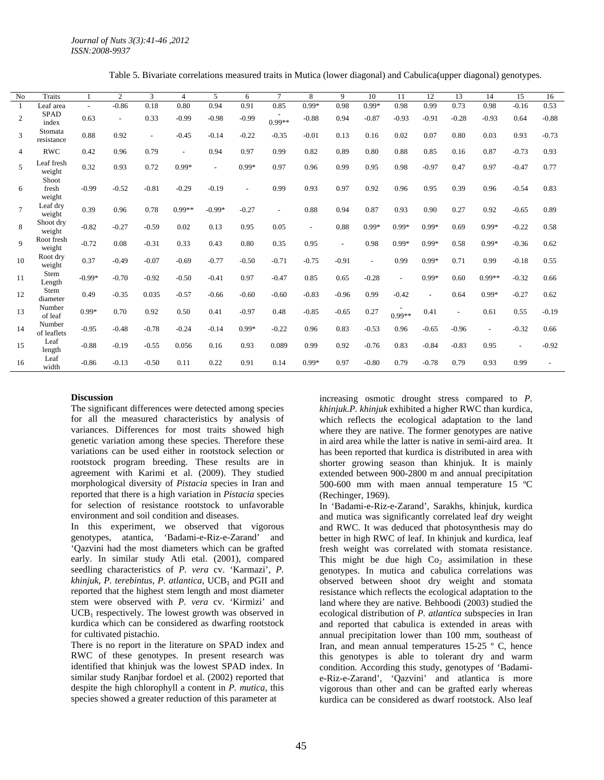Table 5. Bivariate correlations measured traits in Mutica (lower diagonal) and Cabulica(upper diagonal) genotypes.

| N <sub>o</sub> | <b>Traits</b>            |          | $\mathbf{2}$ | 3                        | $\overline{4}$ | 5                        | 6       | $\tau$   | 8                        | 9       | 10      | 11       | 12      | 13             | 14       | 15                       | 16      |
|----------------|--------------------------|----------|--------------|--------------------------|----------------|--------------------------|---------|----------|--------------------------|---------|---------|----------|---------|----------------|----------|--------------------------|---------|
|                | Leaf area                | $\sim$   | $-0.86$      | 0.18                     | 0.80           | 0.94                     | 0.91    | 0.85     | $0.99*$                  | 0.98    | $0.99*$ | 0.98     | 0.99    | 0.73           | 0.98     | $-0.16$                  | 0.53    |
| $\overline{c}$ | <b>SPAD</b><br>index     | 0.63     | $\sim$       | 0.33                     | $-0.99$        | $-0.98$                  | $-0.99$ | $0.99**$ | $-0.88$                  | 0.94    | $-0.87$ | $-0.93$  | $-0.91$ | $-0.28$        | $-0.93$  | 0.64                     | $-0.88$ |
| 3              | Stomata<br>resistance    | 0.88     | 0.92         | $\overline{\phantom{a}}$ | $-0.45$        | $-0.14$                  | $-0.22$ | $-0.35$  | $-0.01$                  | 0.13    | 0.16    | 0.02     | 0.07    | 0.80           | 0.03     | 0.93                     | $-0.73$ |
| $\overline{4}$ | <b>RWC</b>               | 0.42     | 0.96         | 0.79                     |                | 0.94                     | 0.97    | 0.99     | 0.82                     | 0.89    | 0.80    | 0.88     | 0.85    | 0.16           | 0.87     | $-0.73$                  | 0.93    |
| 5              | eaf fresh<br>weight      | 0.32     | 0.93         | 0.72                     | $0.99*$        | $\overline{\phantom{a}}$ | $0.99*$ | 0.97     | 0.96                     | 0.99    | 0.95    | 0.98     | $-0.97$ | 0.47           | 0.97     | $-0.47$                  | 0.77    |
| 6              | Shoot<br>fresh<br>weight | $-0.99$  | $-0.52$      | $-0.81$                  | $-0.29$        | $-0.19$                  |         | 0.99     | 0.93                     | 0.97    | 0.92    | 0.96     | 0.95    | 0.39           | 0.96     | $-0.54$                  | 0.83    |
| $\overline{7}$ | Leaf dry<br>weight       | 0.39     | 0.96         | 0.78                     | $0.99**$       | $-0.99*$                 | $-0.27$ | $\sim$   | 0.88                     | 0.94    | 0.87    | 0.93     | 0.90    | 0.27           | 0.92     | $-0.65$                  | 0.89    |
| 8              | Shoot dry<br>weight      | $-0.82$  | $-0.27$      | $-0.59$                  | 0.02           | 0.13                     | 0.95    | 0.05     | $\overline{\phantom{a}}$ | 0.88    | $0.99*$ | $0.99*$  | $0.99*$ | 0.69           | $0.99*$  | $-0.22$                  | 0.58    |
| $\overline{9}$ | Root fresh<br>weight     | $-0.72$  | 0.08         | $-0.31$                  | 0.33           | 0.43                     | 0.80    | 0.35     | 0.95                     | $\sim$  | 0.98    | $0.99*$  | $0.99*$ | 0.58           | $0.99*$  | $-0.36$                  | 0.62    |
| 10             | Root dry<br>weight       | 0.37     | $-0.49$      | $-0.07$                  | $-0.69$        | $-0.77$                  | $-0.50$ | $-0.71$  | $-0.75$                  | $-0.91$ |         | 0.99     | $0.99*$ | 0.71           | 0.99     | $-0.18$                  | 0.55    |
| 11             | Stem<br>Length           | $-0.99*$ | $-0.70$      | $-0.92$                  | $-0.50$        | $-0.41$                  | 0.97    | $-0.47$  | 0.85                     | 0.65    | $-0.28$ | $\sim$   | $0.99*$ | 0.60           | $0.99**$ | $-0.32$                  | 0.66    |
| 12             | Stem<br>diameter         | 0.49     | $-0.35$      | 0.035                    | $-0.57$        | $-0.66$                  | $-0.60$ | $-0.60$  | $-0.83$                  | $-0.96$ | 0.99    | $-0.42$  |         | 0.64           | $0.99*$  | $-0.27$                  | 0.62    |
| 13             | Number<br>of leaf        | $0.99*$  | 0.70         | 0.92                     | 0.50           | 0.41                     | $-0.97$ | 0.48     | $-0.85$                  | $-0.65$ | 0.27    | $0.99**$ | 0.41    | $\overline{a}$ | 0.61     | 0.55                     | $-0.19$ |
| 14             | Number<br>of leaflets    | $-0.95$  | $-0.48$      | $-0.78$                  | $-0.24$        | $-0.14$                  | $0.99*$ | $-0.22$  | 0.96                     | 0.83    | $-0.53$ | 0.96     | $-0.65$ | $-0.96$        |          | $-0.32$                  | 0.66    |
| 15             | Leaf<br>length           | $-0.88$  | $-0.19$      | $-0.55$                  | 0.056          | 0.16                     | 0.93    | 0.089    | 0.99                     | 0.92    | $-0.76$ | 0.83     | $-0.84$ | $-0.83$        | 0.95     | $\overline{\phantom{a}}$ | $-0.92$ |
| 16             | Leaf<br>width            | $-0.86$  | $-0.13$      | $-0.50$                  | 0.11           | 0.22                     | 0.91    | 0.14     | $0.99*$                  | 0.97    | $-0.80$ | 0.79     | $-0.78$ | 0.79           | 0.93     | 0.99                     |         |

#### **Discussion**

The significant differences were detected among species for all the measured characteristics by analysis of variances. Differences for most traits showed high genetic variation among these species. Therefore these variations can be used either in rootstock selection or rootstock program breeding. These results are in agreement with Karimi et al. (2009). They studied morphological diversity of *Pistacia* species in Iran and reported that there is a high variation in *Pistacia* species for selection of resistance rootstock to unfavorable environment and soil condition and diseases.

In this experiment, we observed that vigorous genotypes, atantica, 'Badami-e-Riz-e-Zarand' and 'Qazvini had the most diameters which can be grafted early. In similar study Atli etal. (2001), compared seedling characteristics of *P. vera* cv. 'Karmazi', *P. khinjuk*, *P. terebintus*, *P. atlantica*, UCB<sub>1</sub> and PGII and reported that the highest stem length and most diameter stem were observed with *P. vera* cv. 'Kirmizi' and  $UCB<sub>1</sub>$  respectively. The lowest growth was observed in kurdica which can be considered as dwarfing rootstock for cultivated pistachio.

There is no report in the literature on SPAD index and RWC of these genotypes. In present research was identified that khinjuk was the lowest SPAD index. In similar study Ranjbar fordoel et al. (2002) reported that despite the high chlorophyll a content in *P. mutica*, this species showed a greater reduction of this parameter at

increasing osmotic drought stress compared to *P. khinjuk*.*P. khinjuk* exhibited a higher RWC than kurdica, which reflects the ecological adaptation to the land where they are native. The former genotypes are native in aird area while the latter is native in semi-aird area. It has been reported that kurdica is distributed in area with shorter growing season than khinjuk. It is mainly extended between 900-2800 m and annual precipitation 500-600 mm with maen annual temperature 15 ºC (Rechinger, 1969).

In 'Badami-e-Riz-e-Zarand', Sarakhs, khinjuk, kurdica and mutica was significantly correlated leaf dry weight and RWC. It was deduced that photosynthesis may do better in high RWC of leaf. In khinjuk and kurdica, leaf fresh weight was correlated with stomata resistance. This might be due high  $Co<sub>2</sub>$  assimilation in these genotypes. In mutica and cabulica correlations was observed between shoot dry weight and stomata resistance which reflects the ecological adaptation to the land where they are native. Behboodi (2003) studied the ecological distribution of *P. atlantica* subspecies in Iran and reported that cabulica is extended in areas with annual precipitation lower than 100 mm, southeast of Iran, and mean annual temperatures 15-25 º C, hence this genotypes is able to tolerant dry and warm condition. According this study, genotypes of 'Badamie-Riz-e-Zarand', 'Qazvini' and atlantica is more vigorous than other and can be grafted early whereas kurdica can be considered as dwarf rootstock. Also leaf